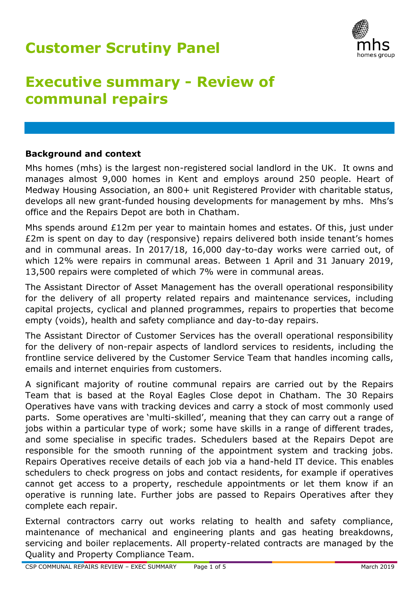# **Customer Scrutiny Panel**



# **Executive summary - Review of communal repairs**

### **Background and context**

Mhs homes (mhs) is the largest non-registered social landlord in the UK. It owns and manages almost 9,000 homes in Kent and employs around 250 people. Heart of Medway Housing Association, an 800+ unit Registered Provider with charitable status, develops all new grant-funded housing developments for management by mhs. Mhs's office and the Repairs Depot are both in Chatham.

Mhs spends around £12m per year to maintain homes and estates. Of this, just under £2m is spent on day to day (responsive) repairs delivered both inside tenant's homes and in communal areas. In 2017/18, 16,000 day-to-day works were carried out, of which 12% were repairs in communal areas. Between 1 April and 31 January 2019, 13,500 repairs were completed of which 7% were in communal areas.

The Assistant Director of Asset Management has the overall operational responsibility for the delivery of all property related repairs and maintenance services, including capital projects, cyclical and planned programmes, repairs to properties that become empty (voids), health and safety compliance and day-to-day repairs.

The Assistant Director of Customer Services has the overall operational responsibility for the delivery of non-repair aspects of landlord services to residents, including the frontline service delivered by the Customer Service Team that handles incoming calls, emails and internet enquiries from customers.

A significant majority of routine communal repairs are carried out by the Repairs Team that is based at the Royal Eagles Close depot in Chatham. The 30 Repairs Operatives have vans with tracking devices and carry a stock of most commonly used parts. Some operatives are 'multi-skilled', meaning that they can carry out a range of jobs within a particular type of work; some have skills in a range of different trades, and some specialise in specific trades. Schedulers based at the Repairs Depot are responsible for the smooth running of the appointment system and tracking jobs. Repairs Operatives receive details of each job via a hand-held IT device. This enables schedulers to check progress on jobs and contact residents, for example if operatives cannot get access to a property, reschedule appointments or let them know if an operative is running late. Further jobs are passed to Repairs Operatives after they complete each repair.

External contractors carry out works relating to health and safety compliance, maintenance of mechanical and engineering plants and gas heating breakdowns, servicing and boiler replacements. All property-related contracts are managed by the Quality and Property Compliance Team.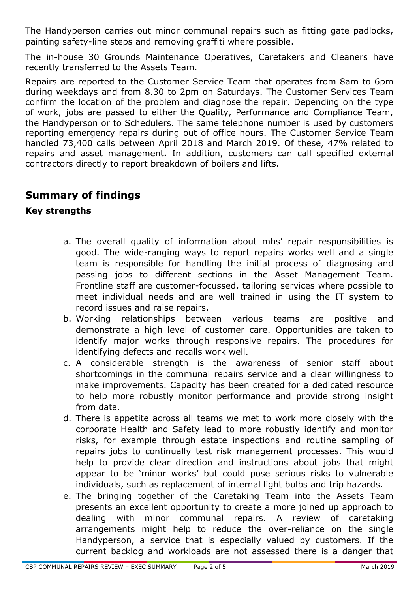The Handyperson carries out minor communal repairs such as fitting gate padlocks, painting safety-line steps and removing graffiti where possible.

The in-house 30 Grounds Maintenance Operatives, Caretakers and Cleaners have recently transferred to the Assets Team.

Repairs are reported to the Customer Service Team that operates from 8am to 6pm during weekdays and from 8.30 to 2pm on Saturdays. The Customer Services Team confirm the location of the problem and diagnose the repair. Depending on the type of work, jobs are passed to either the Quality, Performance and Compliance Team, the Handyperson or to Schedulers. The same telephone number is used by customers reporting emergency repairs during out of office hours. The Customer Service Team handled 73,400 calls between April 2018 and March 2019. Of these, 47% related to repairs and asset management**.** In addition, customers can call specified external contractors directly to report breakdown of boilers and lifts.

# **Summary of findings**

## **Key strengths**

- a. The overall quality of information about mhs' repair responsibilities is good. The wide-ranging ways to report repairs works well and a single team is responsible for handling the initial process of diagnosing and passing jobs to different sections in the Asset Management Team. Frontline staff are customer-focussed, tailoring services where possible to meet individual needs and are well trained in using the IT system to record issues and raise repairs.
- b. Working relationships between various teams are positive and demonstrate a high level of customer care. Opportunities are taken to identify major works through responsive repairs. The procedures for identifying defects and recalls work well.
- c. A considerable strength is the awareness of senior staff about shortcomings in the communal repairs service and a clear willingness to make improvements. Capacity has been created for a dedicated resource to help more robustly monitor performance and provide strong insight from data.
- d. There is appetite across all teams we met to work more closely with the corporate Health and Safety lead to more robustly identify and monitor risks, for example through estate inspections and routine sampling of repairs jobs to continually test risk management processes. This would help to provide clear direction and instructions about jobs that might appear to be 'minor works' but could pose serious risks to vulnerable individuals, such as replacement of internal light bulbs and trip hazards.
- e. The bringing together of the Caretaking Team into the Assets Team presents an excellent opportunity to create a more joined up approach to dealing with minor communal repairs. A review of caretaking arrangements might help to reduce the over-reliance on the single Handyperson, a service that is especially valued by customers. If the current backlog and workloads are not assessed there is a danger that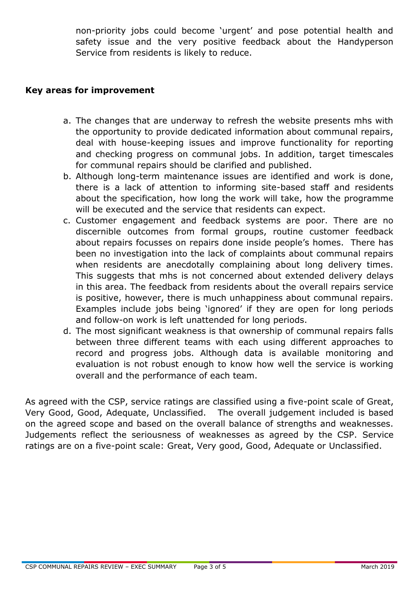non-priority jobs could become 'urgent' and pose potential health and safety issue and the very positive feedback about the Handyperson Service from residents is likely to reduce.

#### **Key areas for improvement**

- a. The changes that are underway to refresh the website presents mhs with the opportunity to provide dedicated information about communal repairs, deal with house-keeping issues and improve functionality for reporting and checking progress on communal jobs. In addition, target timescales for communal repairs should be clarified and published.
- b. Although long-term maintenance issues are identified and work is done, there is a lack of attention to informing site-based staff and residents about the specification, how long the work will take, how the programme will be executed and the service that residents can expect.
- c. Customer engagement and feedback systems are poor. There are no discernible outcomes from formal groups, routine customer feedback about repairs focusses on repairs done inside people's homes. There has been no investigation into the lack of complaints about communal repairs when residents are anecdotally complaining about long delivery times. This suggests that mhs is not concerned about extended delivery delays in this area. The feedback from residents about the overall repairs service is positive, however, there is much unhappiness about communal repairs. Examples include jobs being 'ignored' if they are open for long periods and follow-on work is left unattended for long periods.
- d. The most significant weakness is that ownership of communal repairs falls between three different teams with each using different approaches to record and progress jobs. Although data is available monitoring and evaluation is not robust enough to know how well the service is working overall and the performance of each team.

As agreed with the CSP, service ratings are classified using a five-point scale of Great, Very Good, Good, Adequate, Unclassified. The overall judgement included is based on the agreed scope and based on the overall balance of strengths and weaknesses. Judgements reflect the seriousness of weaknesses as agreed by the CSP. Service ratings are on a five-point scale: Great, Very good, Good, Adequate or Unclassified.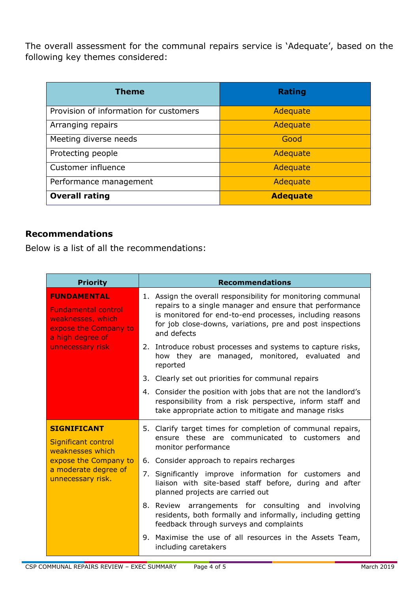The overall assessment for the communal repairs service is 'Adequate', based on the following key themes considered:

| <b>Theme</b>                           | <b>Rating</b>   |
|----------------------------------------|-----------------|
| Provision of information for customers | Adequate        |
| Arranging repairs                      | Adequate        |
| Meeting diverse needs                  | Good            |
| Protecting people                      | Adequate        |
| Customer influence                     | Adequate        |
| Performance management                 | Adequate        |
| <b>Overall rating</b>                  | <b>Adequate</b> |

### **Recommendations**

Below is a list of all the recommendations:

| <b>Priority</b>                                                                                                                        | <b>Recommendations</b>                                                                                                                                                                                                                                          |
|----------------------------------------------------------------------------------------------------------------------------------------|-----------------------------------------------------------------------------------------------------------------------------------------------------------------------------------------------------------------------------------------------------------------|
| <b>FUNDAMENTAL</b><br><b>Fundamental control</b><br>weaknesses, which<br>expose the Company to<br>a high degree of<br>unnecessary risk | 1. Assign the overall responsibility for monitoring communal<br>repairs to a single manager and ensure that performance<br>is monitored for end-to-end processes, including reasons<br>for job close-downs, variations, pre and post inspections<br>and defects |
|                                                                                                                                        | 2. Introduce robust processes and systems to capture risks,<br>how they are managed, monitored, evaluated and<br>reported                                                                                                                                       |
|                                                                                                                                        | 3. Clearly set out priorities for communal repairs                                                                                                                                                                                                              |
|                                                                                                                                        | 4. Consider the position with jobs that are not the landlord's<br>responsibility from a risk perspective, inform staff and<br>take appropriate action to mitigate and manage risks                                                                              |
| <b>SIGNIFICANT</b><br>Significant control<br>weaknesses which                                                                          | 5. Clarify target times for completion of communal repairs,<br>ensure these are communicated to customers and<br>monitor performance                                                                                                                            |
| expose the Company to                                                                                                                  | 6. Consider approach to repairs recharges                                                                                                                                                                                                                       |
| a moderate degree of<br>unnecessary risk.                                                                                              | 7. Significantly improve information for customers and<br>liaison with site-based staff before, during and after<br>planned projects are carried out                                                                                                            |
|                                                                                                                                        | 8. Review arrangements for consulting and involving<br>residents, both formally and informally, including getting<br>feedback through surveys and complaints                                                                                                    |
|                                                                                                                                        | 9. Maximise the use of all resources in the Assets Team,<br>including caretakers                                                                                                                                                                                |